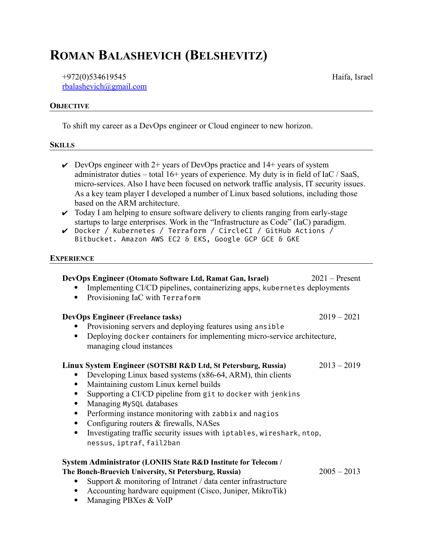## **ROMAN BALASHEVICH (BELSHEVITZ)**

+972(0)534619545 [rbalashevich@gmail.com](mailto:rbalashevich@gmail.com?subject=DevOps%20role)

## **OBJECTIVE**

To shift my career as a DevOps engineer or Cloud engineer to new horizon.

## **SKILLS**

- $\vee$  DevOps engineer with 2+ years of DevOps practice and 14+ years of system administrator duties – total 16+ years of experience. My duty is in field of IaC / SaaS, micro-services. Also I have been focused on network traffic analysis, IT security issues. As a key team player I developed a number of Linux based solutions, including those based on the ARM architecture.
- $\triangleright$  Today I am helping to ensure software delivery to clients ranging from early-stage startups to large enterprises. Work in the "Infrastructure as Code" (IaC) paradigm.
- ✔ Docker / Kubernetes / Terraform / CircleCI / GitHub Actions / Bitbucket. Amazon AWS EC2 & EKS, Google GCP GCE & GKE

## **EXPERIENCE**

| DevOps Engineer (Otomato Software Ltd, Ramat Gan, Israel)<br>Implementing CI/CD pipelines, containerizing apps, kubernetes deployments<br>Provisioning IaC with Terraform                                                                                                                                                                                                                                                                                                                                       | $2021$ – Present |
|-----------------------------------------------------------------------------------------------------------------------------------------------------------------------------------------------------------------------------------------------------------------------------------------------------------------------------------------------------------------------------------------------------------------------------------------------------------------------------------------------------------------|------------------|
| <b>DevOps Engineer (Freelance tasks)</b><br>Provisioning servers and deploying features using ansible<br>Deploying docker containers for implementing micro-service architecture,<br>$\bullet$<br>managing cloud instances                                                                                                                                                                                                                                                                                      | $2019 - 2021$    |
| Linux System Engineer (SOTSBI R&D Ltd, St Petersburg, Russia)<br>Developing Linux based systems (x86-64, ARM), thin clients<br>Maintaining custom Linux kernel builds<br>Supporting a CI/CD pipeline from git to docker with jenkins<br>Managing MySQL databases<br>Performing instance monitoring with zabbix and nagios<br>$\bullet$<br>Configuring routers & firewalls, NASes<br>$\bullet$<br>Investigating traffic security issues with iptables, wireshark, ntop,<br>$\bullet$<br>nessus, iptraf, fail2ban | $2013 - 2019$    |
| System Administrator (LONIIS State R&D Institute for Telecom /<br>The Bonch-Bruevich University, St Petersburg, Russia)<br>Support & monitoring of Intranet / data center infrastructure<br>Accounting hardware equipment (Cisco, Juniper, MikroTik)<br>$\bullet$<br>Managing PBXes & VoIP                                                                                                                                                                                                                      | $2005 - 2013$    |